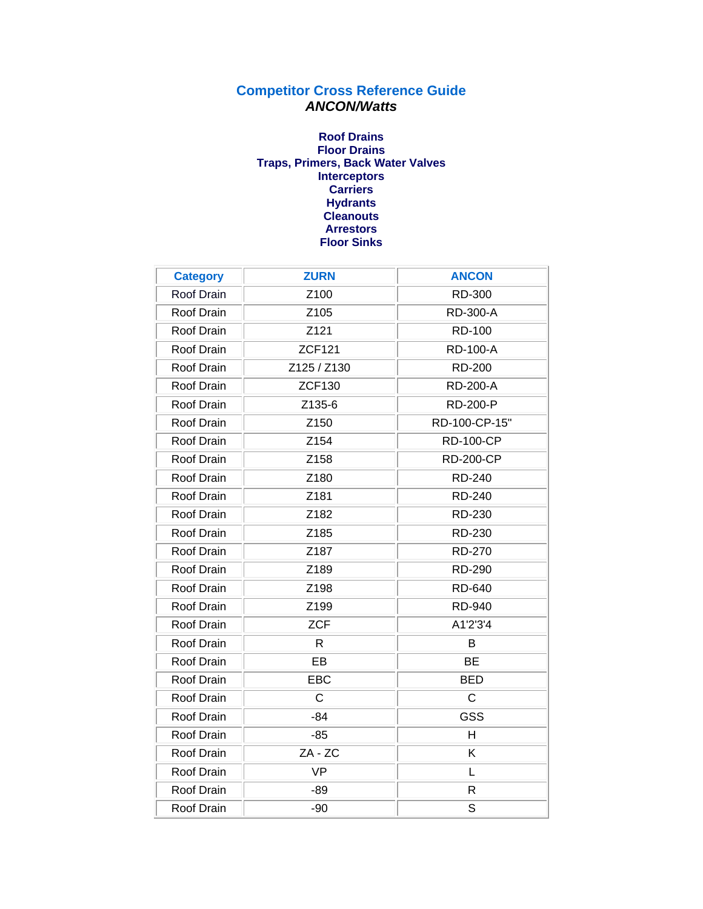## **Competitor Cross Reference Guide** *ANCON/Watts*

## **Roof Drains [Floor Drains](#page-1-0) [Traps, Primers, Back Water Valves](#page-5-0) [Interceptors](#page-6-0) [Carriers](#page-7-0) [Hydrants](#page-8-0) [Cleanouts](#page-8-0) [Arrestors](#page-10-0) [Floor Sinks](#page-10-0)**

| <b>Category</b>   | <b>ZURN</b>   | <b>ANCON</b>     |
|-------------------|---------------|------------------|
| Roof Drain        | Z100          | RD-300           |
| Roof Drain        | Z105          | RD-300-A         |
| Roof Drain        | Z121          | RD-100           |
| Roof Drain        | <b>ZCF121</b> | <b>RD-100-A</b>  |
| Roof Drain        | Z125 / Z130   | <b>RD-200</b>    |
| Roof Drain        | <b>ZCF130</b> | <b>RD-200-A</b>  |
| Roof Drain        | Z135-6        | <b>RD-200-P</b>  |
| Roof Drain        | Z150          | RD-100-CP-15"    |
| Roof Drain        | Z154          | <b>RD-100-CP</b> |
| Roof Drain        | Z158          | <b>RD-200-CP</b> |
| Roof Drain        | Z180          | <b>RD-240</b>    |
| Roof Drain        | Z181          | RD-240           |
| Roof Drain        | Z182          | RD-230           |
| Roof Drain        | Z185          | RD-230           |
| Roof Drain        | Z187          | <b>RD-270</b>    |
| Roof Drain        | Z189          | <b>RD-290</b>    |
| Roof Drain        | Z198          | RD-640           |
| Roof Drain        | Z199          | <b>RD-940</b>    |
| Roof Drain        | <b>ZCF</b>    | A1'2'3'4         |
| Roof Drain        | $\mathsf{R}$  | B                |
| Roof Drain        | EB            | <b>BE</b>        |
| Roof Drain        | EBC           | <b>BED</b>       |
| Roof Drain        | C             | C                |
| Roof Drain        | $-84$         | <b>GSS</b>       |
| Roof Drain        | $-85$         | H                |
| Roof Drain        | ZA - ZC       | Κ                |
| Roof Drain        | <b>VP</b>     | L                |
| <b>Roof Drain</b> | $-89$         | $\mathsf{R}$     |
| Roof Drain        | $-90$         | S                |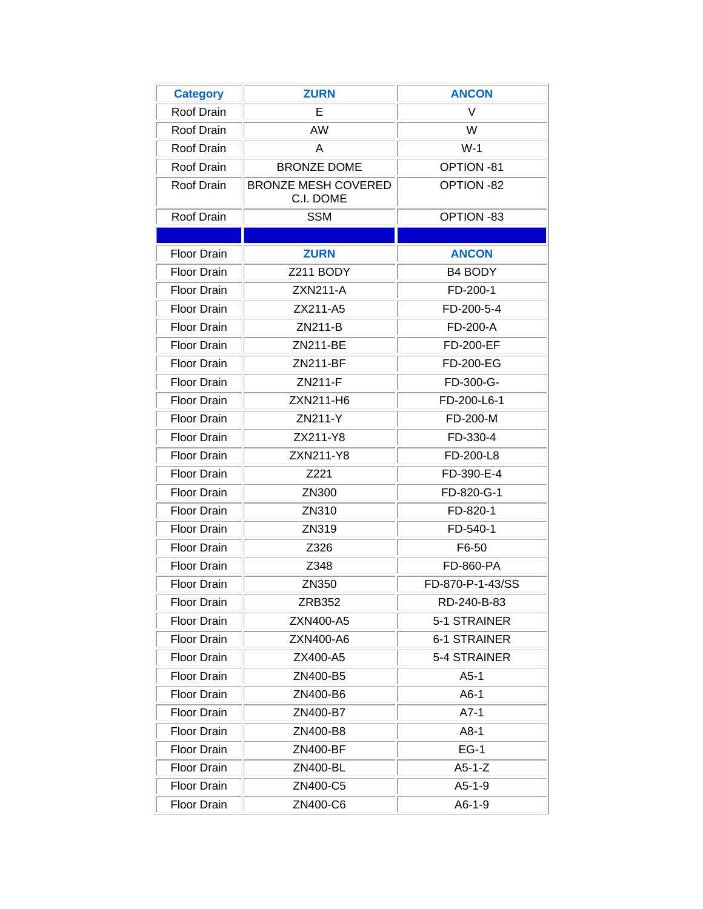<span id="page-1-0"></span>

| <b>Category</b>    | <b>ZURN</b>                             | <b>ANCON</b>        |
|--------------------|-----------------------------------------|---------------------|
| Roof Drain         | E                                       | V                   |
| Roof Drain         | <b>AW</b>                               | W                   |
| Roof Drain         | A                                       | $W-1$               |
| Roof Drain         | <b>BRONZE DOME</b>                      | OPTION-81           |
| Roof Drain         | <b>BRONZE MESH COVERED</b><br>C.I. DOME | OPTION -82          |
| Roof Drain         | <b>SSM</b>                              | OPTION -83          |
|                    |                                         |                     |
| <b>Floor Drain</b> | <b>ZURN</b>                             | <b>ANCON</b>        |
| <b>Floor Drain</b> | Z211 BODY                               | <b>B4 BODY</b>      |
| <b>Floor Drain</b> | <b>ZXN211-A</b>                         | FD-200-1            |
| <b>Floor Drain</b> | ZX211-A5                                | FD-200-5-4          |
| <b>Floor Drain</b> | ZN211-B                                 | FD-200-A            |
| <b>Floor Drain</b> | ZN211-BE                                | <b>FD-200-EF</b>    |
| <b>Floor Drain</b> | ZN211-BF                                | FD-200-EG           |
| <b>Floor Drain</b> | ZN211-F                                 | FD-300-G-           |
| <b>Floor Drain</b> | ZXN211-H6                               | FD-200-L6-1         |
| <b>Floor Drain</b> | ZN211-Y                                 | FD-200-M            |
| <b>Floor Drain</b> | ZX211-Y8                                | FD-330-4            |
| <b>Floor Drain</b> | ZXN211-Y8                               | FD-200-L8           |
| <b>Floor Drain</b> | Z221                                    | FD-390-E-4          |
| <b>Floor Drain</b> | ZN300                                   | FD-820-G-1          |
| <b>Floor Drain</b> | ZN310                                   | FD-820-1            |
| <b>Floor Drain</b> | ZN319                                   | FD-540-1            |
| <b>Floor Drain</b> | Z326                                    | F6-50               |
| <b>Floor Drain</b> | Z348                                    | <b>FD-860-PA</b>    |
| <b>Floor Drain</b> | ZN350                                   | FD-870-P-1-43/SS    |
| Floor Drain        | <b>ZRB352</b>                           | RD-240-B-83         |
| Floor Drain        | ZXN400-A5                               | 5-1 STRAINER        |
| Floor Drain        | ZXN400-A6                               | <b>6-1 STRAINER</b> |
| <b>Floor Drain</b> | ZX400-A5                                | 5-4 STRAINER        |
| Floor Drain        | ZN400-B5                                | $A5-1$              |
| Floor Drain        | ZN400-B6                                | $A6-1$              |
| <b>Floor Drain</b> | ZN400-B7                                | $A7-1$              |
| Floor Drain        | ZN400-B8                                | $A8-1$              |
| Floor Drain        | <b>ZN400-BF</b>                         | $EG-1$              |
| <b>Floor Drain</b> | ZN400-BL                                | $A5-1-Z$            |
| Floor Drain        | ZN400-C5                                | $A5-1-9$            |
| Floor Drain        | ZN400-C6                                | $A6-1-9$            |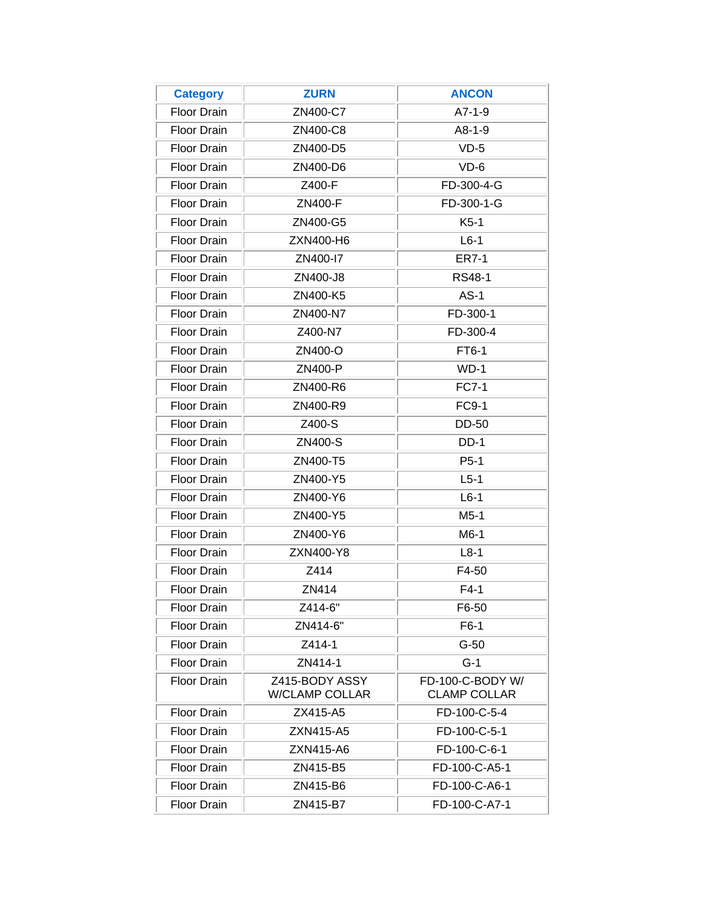| <b>Category</b>    | <b>ZURN</b>                             | <b>ANCON</b>                            |
|--------------------|-----------------------------------------|-----------------------------------------|
| <b>Floor Drain</b> | ZN400-C7                                | $A7-1-9$                                |
| <b>Floor Drain</b> | ZN400-C8                                | $A8-1-9$                                |
| <b>Floor Drain</b> | ZN400-D5                                | $VD-5$                                  |
| <b>Floor Drain</b> | ZN400-D6                                | $VD-6$                                  |
| <b>Floor Drain</b> | Z400-F                                  | FD-300-4-G                              |
| <b>Floor Drain</b> | ZN400-F                                 | FD-300-1-G                              |
| <b>Floor Drain</b> | ZN400-G5                                | $K5-1$                                  |
| <b>Floor Drain</b> | ZXN400-H6                               | $L6-1$                                  |
| <b>Floor Drain</b> | ZN400-I7                                | <b>ER7-1</b>                            |
| <b>Floor Drain</b> | ZN400-J8                                | <b>RS48-1</b>                           |
| <b>Floor Drain</b> | ZN400-K5                                | $AS-1$                                  |
| <b>Floor Drain</b> | ZN400-N7                                | FD-300-1                                |
| <b>Floor Drain</b> | Z400-N7                                 | FD-300-4                                |
| <b>Floor Drain</b> | ZN400-O                                 | FT6-1                                   |
| <b>Floor Drain</b> | ZN400-P                                 | $WD-1$                                  |
| <b>Floor Drain</b> | ZN400-R6                                | <b>FC7-1</b>                            |
| <b>Floor Drain</b> | ZN400-R9                                | <b>FC9-1</b>                            |
| <b>Floor Drain</b> | Z400-S                                  | <b>DD-50</b>                            |
| <b>Floor Drain</b> | ZN400-S                                 | $DD-1$                                  |
| <b>Floor Drain</b> | ZN400-T5                                | $P5-1$                                  |
| <b>Floor Drain</b> | ZN400-Y5                                | $L5-1$                                  |
| <b>Floor Drain</b> | ZN400-Y6                                | $L6-1$                                  |
| <b>Floor Drain</b> | ZN400-Y5                                | $M5-1$                                  |
| <b>Floor Drain</b> | ZN400-Y6                                | M6-1                                    |
| Floor Drain        | ZXN400-Y8                               | $L8-1$                                  |
| <b>Floor Drain</b> | Z414                                    | F4-50                                   |
| <b>Floor Drain</b> | ZN414                                   | $F4-1$                                  |
| <b>Floor Drain</b> | Z414-6"                                 | F6-50                                   |
| <b>Floor Drain</b> | ZN414-6"                                | $F6-1$                                  |
| <b>Floor Drain</b> | Z414-1                                  | $G-50$                                  |
| <b>Floor Drain</b> | ZN414-1                                 | $G-1$                                   |
| <b>Floor Drain</b> | Z415-BODY ASSY<br><b>W/CLAMP COLLAR</b> | FD-100-C-BODY W/<br><b>CLAMP COLLAR</b> |
| <b>Floor Drain</b> | ZX415-A5                                | FD-100-C-5-4                            |
| <b>Floor Drain</b> | ZXN415-A5                               | FD-100-C-5-1                            |
| <b>Floor Drain</b> | ZXN415-A6                               | FD-100-C-6-1                            |
| <b>Floor Drain</b> | ZN415-B5                                | FD-100-C-A5-1                           |
| <b>Floor Drain</b> | ZN415-B6                                | FD-100-C-A6-1                           |
| <b>Floor Drain</b> | ZN415-B7                                | FD-100-C-A7-1                           |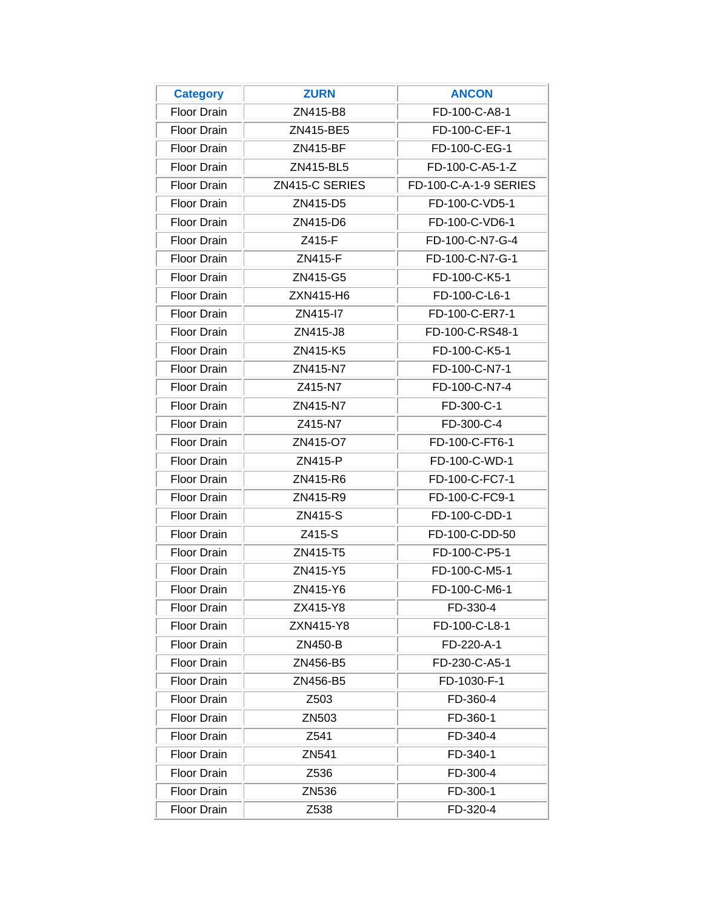| <b>Category</b>    | <b>ZURN</b>    | <b>ANCON</b>          |
|--------------------|----------------|-----------------------|
| <b>Floor Drain</b> | ZN415-B8       | FD-100-C-A8-1         |
| <b>Floor Drain</b> | ZN415-BE5      | FD-100-C-EF-1         |
| <b>Floor Drain</b> | ZN415-BF       | FD-100-C-EG-1         |
| <b>Floor Drain</b> | ZN415-BL5      | FD-100-C-A5-1-Z       |
| <b>Floor Drain</b> | ZN415-C SERIES | FD-100-C-A-1-9 SERIES |
| <b>Floor Drain</b> | ZN415-D5       | FD-100-C-VD5-1        |
| <b>Floor Drain</b> | ZN415-D6       | FD-100-C-VD6-1        |
| <b>Floor Drain</b> | Z415-F         | FD-100-C-N7-G-4       |
| <b>Floor Drain</b> | ZN415-F        | FD-100-C-N7-G-1       |
| <b>Floor Drain</b> | ZN415-G5       | FD-100-C-K5-1         |
| <b>Floor Drain</b> | ZXN415-H6      | FD-100-C-L6-1         |
| <b>Floor Drain</b> | ZN415-17       | FD-100-C-ER7-1        |
| <b>Floor Drain</b> | ZN415-J8       | FD-100-C-RS48-1       |
| <b>Floor Drain</b> | ZN415-K5       | FD-100-C-K5-1         |
| <b>Floor Drain</b> | ZN415-N7       | FD-100-C-N7-1         |
| <b>Floor Drain</b> | Z415-N7        | FD-100-C-N7-4         |
| <b>Floor Drain</b> | ZN415-N7       | FD-300-C-1            |
| <b>Floor Drain</b> | Z415-N7        | FD-300-C-4            |
| <b>Floor Drain</b> | ZN415-O7       | FD-100-C-FT6-1        |
| <b>Floor Drain</b> | ZN415-P        | FD-100-C-WD-1         |
| <b>Floor Drain</b> | ZN415-R6       | FD-100-C-FC7-1        |
| <b>Floor Drain</b> | ZN415-R9       | FD-100-C-FC9-1        |
| <b>Floor Drain</b> | ZN415-S        | FD-100-C-DD-1         |
| <b>Floor Drain</b> | Z415-S         | FD-100-C-DD-50        |
| <b>Floor Drain</b> | ZN415-T5       | FD-100-C-P5-1         |
| <b>Floor Drain</b> | ZN415-Y5       | FD-100-C-M5-1         |
| <b>Floor Drain</b> | ZN415-Y6       | FD-100-C-M6-1         |
| <b>Floor Drain</b> | ZX415-Y8       | FD-330-4              |
| <b>Floor Drain</b> | ZXN415-Y8      | FD-100-C-L8-1         |
| <b>Floor Drain</b> | ZN450-B        | FD-220-A-1            |
| Floor Drain        | ZN456-B5       | FD-230-C-A5-1         |
| <b>Floor Drain</b> | ZN456-B5       | FD-1030-F-1           |
| <b>Floor Drain</b> | Z503           | FD-360-4              |
| Floor Drain        | ZN503          | FD-360-1              |
| <b>Floor Drain</b> | Z541           | FD-340-4              |
| <b>Floor Drain</b> | ZN541          | FD-340-1              |
| Floor Drain        | Z536           | FD-300-4              |
| <b>Floor Drain</b> | ZN536          | FD-300-1              |
| <b>Floor Drain</b> | Z538           | FD-320-4              |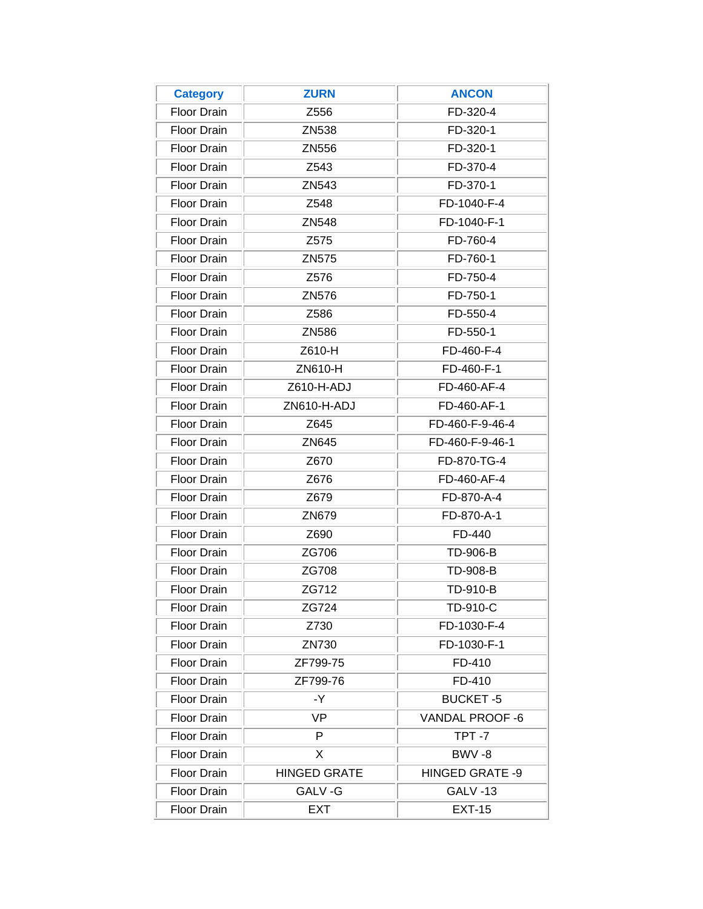| <b>Category</b>    | <b>ZURN</b>         | <b>ANCON</b>    |
|--------------------|---------------------|-----------------|
| <b>Floor Drain</b> | Z556                | FD-320-4        |
| <b>Floor Drain</b> | ZN538               | FD-320-1        |
| <b>Floor Drain</b> | ZN556               | FD-320-1        |
| <b>Floor Drain</b> | Z543                | FD-370-4        |
| <b>Floor Drain</b> | ZN543               | FD-370-1        |
| <b>Floor Drain</b> | Z548                | FD-1040-F-4     |
| <b>Floor Drain</b> | ZN548               | FD-1040-F-1     |
| <b>Floor Drain</b> | Z575                | FD-760-4        |
| <b>Floor Drain</b> | ZN575               | FD-760-1        |
| <b>Floor Drain</b> | Z576                | FD-750-4        |
| <b>Floor Drain</b> | ZN576               | FD-750-1        |
| <b>Floor Drain</b> | Z586                | FD-550-4        |
| <b>Floor Drain</b> | ZN586               | FD-550-1        |
| <b>Floor Drain</b> | Z610-H              | FD-460-F-4      |
| <b>Floor Drain</b> | ZN610-H             | FD-460-F-1      |
| <b>Floor Drain</b> | Z610-H-ADJ          | FD-460-AF-4     |
| <b>Floor Drain</b> | ZN610-H-ADJ         | FD-460-AF-1     |
| <b>Floor Drain</b> | Z645                | FD-460-F-9-46-4 |
| <b>Floor Drain</b> | ZN645               | FD-460-F-9-46-1 |
| <b>Floor Drain</b> | Z670                | FD-870-TG-4     |
| <b>Floor Drain</b> | Z676                | FD-460-AF-4     |
| <b>Floor Drain</b> | Z679                | FD-870-A-4      |
| <b>Floor Drain</b> | ZN679               | FD-870-A-1      |
| <b>Floor Drain</b> | Z690                | FD-440          |
| <b>Floor Drain</b> | ZG706               | TD-906-B        |
| <b>Floor Drain</b> | ZG708               | TD-908-B        |
| <b>Floor Drain</b> | ZG712               | <b>TD-910-B</b> |
| Floor Drain        | ZG724               | TD-910-C        |
| <b>Floor Drain</b> | Z730                | FD-1030-F-4     |
| <b>Floor Drain</b> | ZN730               | FD-1030-F-1     |
| Floor Drain        | ZF799-75            | FD-410          |
| Floor Drain        | ZF799-76            | FD-410          |
| <b>Floor Drain</b> | -Y                  | <b>BUCKET-5</b> |
| Floor Drain        | VP.                 | VANDAL PROOF -6 |
| Floor Drain        | P                   | TPT-7           |
| <b>Floor Drain</b> | X                   | BWV-8           |
| Floor Drain        | <b>HINGED GRATE</b> | HINGED GRATE -9 |
| Floor Drain        | GALV-G              | <b>GALV -13</b> |
| Floor Drain        | <b>EXT</b>          | <b>EXT-15</b>   |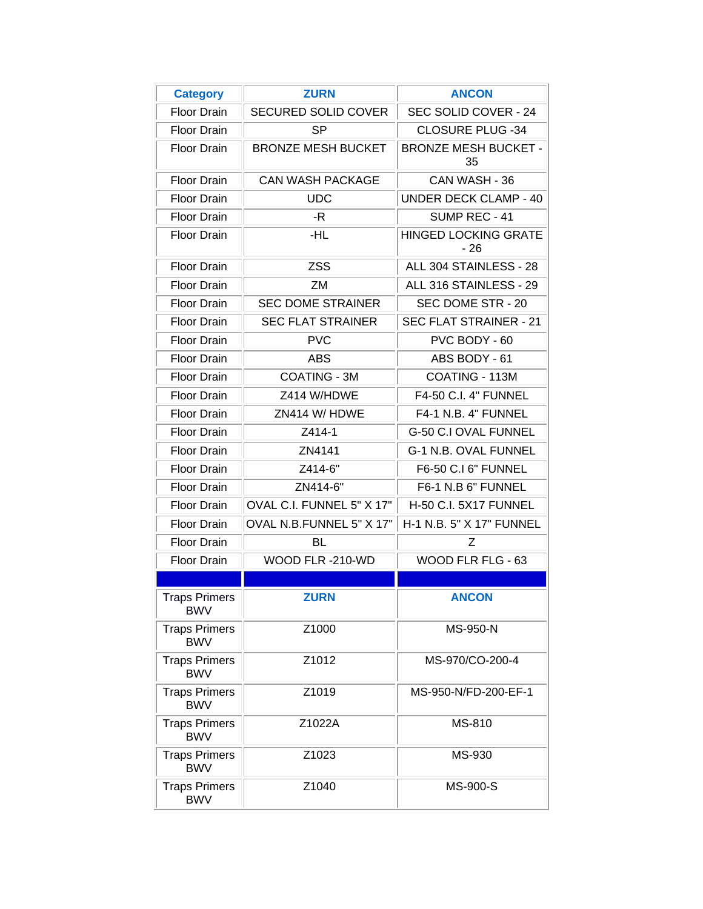<span id="page-5-0"></span>

| <b>Category</b>                    | <b>ZURN</b>                | <b>ANCON</b>                         |
|------------------------------------|----------------------------|--------------------------------------|
| <b>Floor Drain</b>                 | <b>SECURED SOLID COVER</b> | SEC SOLID COVER - 24                 |
| <b>Floor Drain</b>                 | <b>SP</b>                  | <b>CLOSURE PLUG -34</b>              |
| <b>Floor Drain</b>                 | <b>BRONZE MESH BUCKET</b>  | <b>BRONZE MESH BUCKET -</b><br>35    |
| <b>Floor Drain</b>                 | <b>CAN WASH PACKAGE</b>    | CAN WASH - 36                        |
| <b>Floor Drain</b>                 | <b>UDC</b>                 | <b>UNDER DECK CLAMP - 40</b>         |
| <b>Floor Drain</b>                 | -R                         | SUMP REC - 41                        |
| <b>Floor Drain</b>                 | -HL                        | <b>HINGED LOCKING GRATE</b><br>$-26$ |
| <b>Floor Drain</b>                 | <b>ZSS</b>                 | ALL 304 STAINLESS - 28               |
| <b>Floor Drain</b>                 | ZM                         | ALL 316 STAINLESS - 29               |
| <b>Floor Drain</b>                 | <b>SEC DOME STRAINER</b>   | SEC DOME STR - 20                    |
| <b>Floor Drain</b>                 | <b>SEC FLAT STRAINER</b>   | <b>SEC FLAT STRAINER - 21</b>        |
| <b>Floor Drain</b>                 | <b>PVC</b>                 | PVC BODY - 60                        |
| <b>Floor Drain</b>                 | ABS                        | ABS BODY - 61                        |
| <b>Floor Drain</b>                 | COATING - 3M               | COATING - 113M                       |
| <b>Floor Drain</b>                 | Z414 W/HDWE                | F4-50 C.I. 4" FUNNEL                 |
| <b>Floor Drain</b>                 | ZN414 W/ HDWE              | F4-1 N.B. 4" FUNNEL                  |
| <b>Floor Drain</b>                 | Z414-1                     | G-50 C.I OVAL FUNNEL                 |
| <b>Floor Drain</b>                 | ZN4141                     | G-1 N.B. OVAL FUNNEL                 |
| <b>Floor Drain</b>                 | Z414-6"                    | F6-50 C.I 6" FUNNEL                  |
| <b>Floor Drain</b>                 | ZN414-6"                   | F6-1 N.B 6" FUNNEL                   |
| <b>Floor Drain</b>                 | OVAL C.I. FUNNEL 5" X 17"  | <b>H-50 C.I. 5X17 FUNNEL</b>         |
| <b>Floor Drain</b>                 | OVAL N.B.FUNNEL 5" X 17"   | H-1 N.B. 5" X 17" FUNNEL             |
| <b>Floor Drain</b>                 | BL                         | Ζ                                    |
| <b>Floor Drain</b>                 | WOOD FLR-210-WD            | WOOD FLR FLG - 63                    |
|                                    |                            |                                      |
| <b>Traps Primers</b><br><b>BWV</b> | <b>ZURN</b>                | <b>ANCON</b>                         |
| <b>Traps Primers</b><br><b>BWV</b> | Z1000                      | MS-950-N                             |
| <b>Traps Primers</b><br><b>BWV</b> | Z1012                      | MS-970/CO-200-4                      |
| <b>Traps Primers</b><br><b>BWV</b> | Z1019                      | MS-950-N/FD-200-EF-1                 |
| <b>Traps Primers</b><br><b>BWV</b> | Z1022A                     | MS-810                               |
| <b>Traps Primers</b><br><b>BWV</b> | Z1023                      | MS-930                               |
| <b>Traps Primers</b><br><b>BWV</b> | Z1040                      | MS-900-S                             |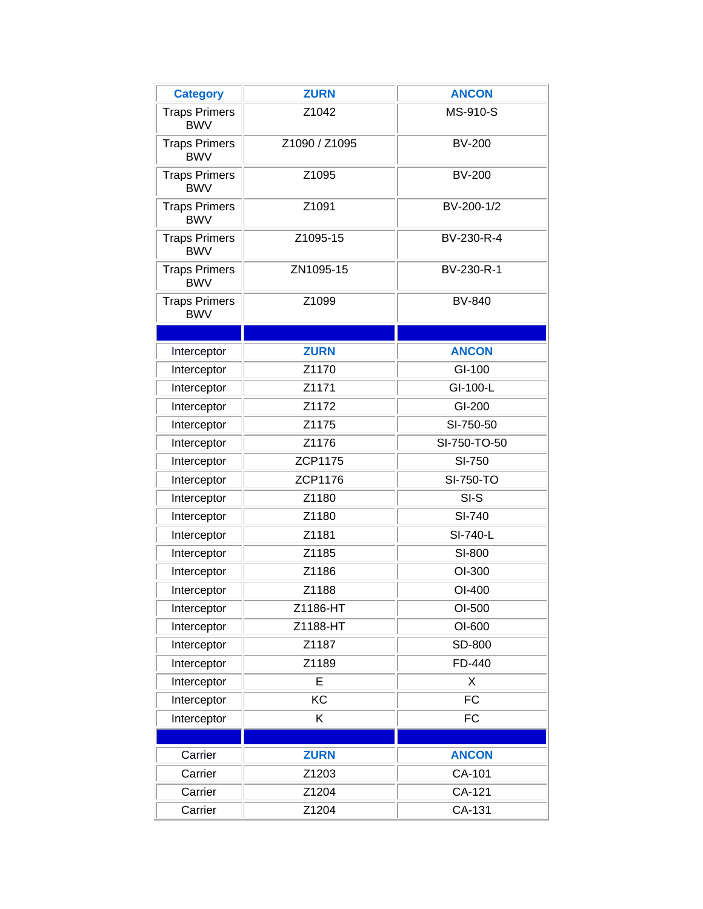<span id="page-6-0"></span>

| <b>Category</b>                    | <b>ZURN</b>   | <b>ANCON</b>  |
|------------------------------------|---------------|---------------|
| <b>Traps Primers</b><br><b>BWV</b> | Z1042         | MS-910-S      |
| <b>Traps Primers</b><br><b>BWV</b> | Z1090 / Z1095 | <b>BV-200</b> |
| <b>Traps Primers</b><br><b>BWV</b> | Z1095         | <b>BV-200</b> |
| <b>Traps Primers</b><br><b>BWV</b> | Z1091         | BV-200-1/2    |
| <b>Traps Primers</b><br><b>BWV</b> | Z1095-15      | BV-230-R-4    |
| <b>Traps Primers</b><br><b>BWV</b> | ZN1095-15     | BV-230-R-1    |
| <b>Traps Primers</b><br><b>BWV</b> | Z1099         | <b>BV-840</b> |
|                                    |               |               |
| Interceptor                        | <b>ZURN</b>   | <b>ANCON</b>  |
| Interceptor                        | Z1170         | GI-100        |
| Interceptor                        | Z1171         | GI-100-L      |
| Interceptor                        | Z1172         | GI-200        |
| Interceptor                        | Z1175         | SI-750-50     |
| Interceptor                        | Z1176         | SI-750-TO-50  |
| Interceptor                        | ZCP1175       | SI-750        |
| Interceptor                        | ZCP1176       | SI-750-TO     |
| Interceptor                        | Z1180         | $SI-S$        |
| Interceptor                        | Z1180         | SI-740        |
| Interceptor                        | Z1181         | SI-740-L      |
| Interceptor                        | Z1185         | SI-800        |
| Interceptor                        | Z1186         | OI-300        |
| Interceptor                        | Z1188         | OI-400        |
| Interceptor                        | Z1186-HT      | OI-500        |
| Interceptor                        | Z1188-HT      | OI-600        |
| Interceptor                        | Z1187         | SD-800        |
| Interceptor                        | Z1189         | FD-440        |
| Interceptor                        | E             | Χ             |
| Interceptor                        | KC            | <b>FC</b>     |
| Interceptor                        | K             | <b>FC</b>     |
|                                    |               |               |
| Carrier                            | <b>ZURN</b>   | <b>ANCON</b>  |
| Carrier                            | Z1203         | CA-101        |
| Carrier                            | Z1204         | CA-121        |
| Carrier                            | Z1204         | CA-131        |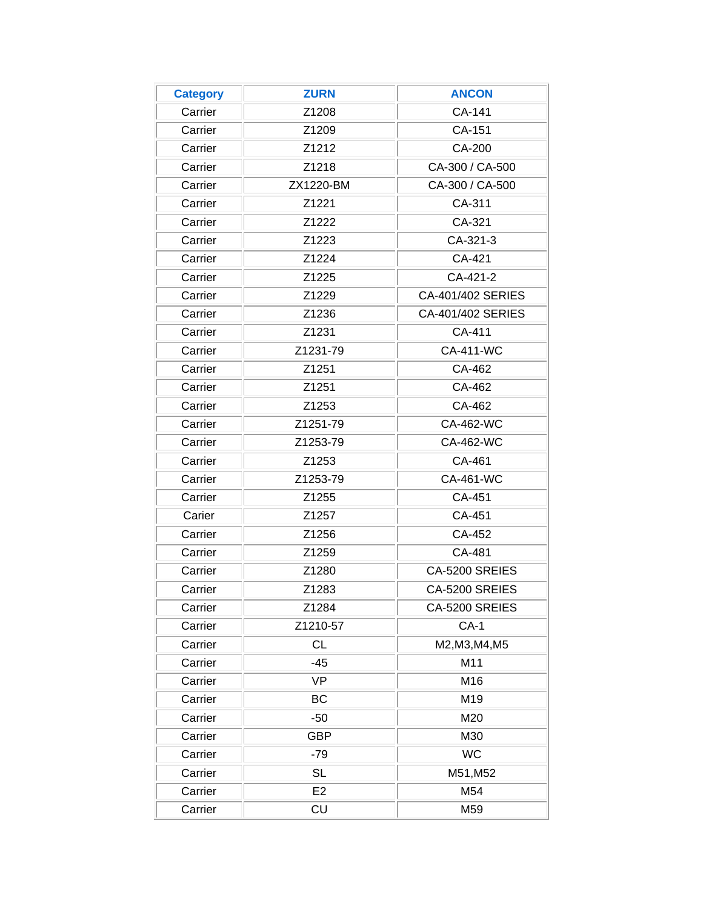<span id="page-7-0"></span>

| <b>Category</b> | <b>ZURN</b> | <b>ANCON</b>      |
|-----------------|-------------|-------------------|
| Carrier         | Z1208       | CA-141            |
| Carrier         | Z1209       | CA-151            |
| Carrier         | Z1212       | CA-200            |
| Carrier         | Z1218       | CA-300 / CA-500   |
| Carrier         | ZX1220-BM   | CA-300 / CA-500   |
| Carrier         | Z1221       | CA-311            |
| Carrier         | Z1222       | CA-321            |
| Carrier         | Z1223       | CA-321-3          |
| Carrier         | Z1224       | CA-421            |
| Carrier         | Z1225       | CA-421-2          |
| Carrier         | Z1229       | CA-401/402 SERIES |
| Carrier         | Z1236       | CA-401/402 SERIES |
| Carrier         | Z1231       | CA-411            |
| Carrier         | Z1231-79    | <b>CA-411-WC</b>  |
| Carrier         | Z1251       | CA-462            |
| Carrier         | Z1251       | CA-462            |
| Carrier         | Z1253       | CA-462            |
| Carrier         | Z1251-79    | CA-462-WC         |
| Carrier         | Z1253-79    | CA-462-WC         |
| Carrier         | Z1253       | CA-461            |
| Carrier         | Z1253-79    | CA-461-WC         |
| Carrier         | Z1255       | CA-451            |
| Carier          | Z1257       | CA-451            |
| Carrier         | Z1256       | CA-452            |
| Carrier         | Z1259       | CA-481            |
| Carrier         | Z1280       | CA-5200 SREIES    |
| Carrier         | Z1283       | CA-5200 SREIES    |
| Carrier         | Z1284       | CA-5200 SREIES    |
| Carrier         | Z1210-57    | $CA-1$            |
| Carrier         | <b>CL</b>   | M2, M3, M4, M5    |
| Carrier         | $-45$       | M11               |
| Carrier         | <b>VP</b>   | M16               |
| Carrier         | BC          | M19               |
| Carrier         | $-50$       | M20               |
| Carrier         | <b>GBP</b>  | M30               |
| Carrier         | $-79$       | <b>WC</b>         |
| Carrier         | <b>SL</b>   | M51, M52          |
| Carrier         | E2          | M54               |
| Carrier         | CU          | M59               |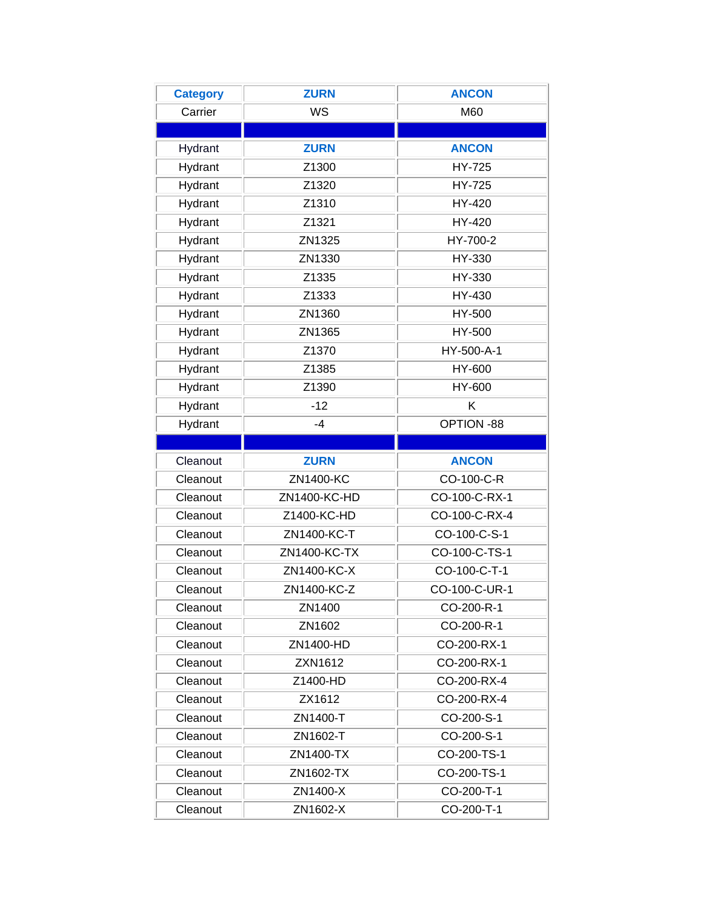<span id="page-8-0"></span>

| <b>Category</b> | <b>ZURN</b>  | <b>ANCON</b>  |
|-----------------|--------------|---------------|
| Carrier         | WS           | M60           |
|                 |              |               |
| Hydrant         | <b>ZURN</b>  | <b>ANCON</b>  |
| Hydrant         | Z1300        | HY-725        |
| Hydrant         | Z1320        | HY-725        |
| Hydrant         | Z1310        | HY-420        |
| Hydrant         | Z1321        | HY-420        |
| Hydrant         | ZN1325       | HY-700-2      |
| Hydrant         | ZN1330       | HY-330        |
| Hydrant         | Z1335        | HY-330        |
| Hydrant         | Z1333        | HY-430        |
| Hydrant         | ZN1360       | HY-500        |
| Hydrant         | ZN1365       | HY-500        |
| Hydrant         | Z1370        | HY-500-A-1    |
| Hydrant         | Z1385        | HY-600        |
| Hydrant         | Z1390        | HY-600        |
| Hydrant         | $-12$        | Κ             |
| Hydrant         | $-4$         | OPTION -88    |
|                 |              |               |
| Cleanout        | <b>ZURN</b>  | <b>ANCON</b>  |
| Cleanout        | ZN1400-KC    | CO-100-C-R    |
| Cleanout        | ZN1400-KC-HD | CO-100-C-RX-1 |
| Cleanout        | Z1400-KC-HD  | CO-100-C-RX-4 |
| Cleanout        | ZN1400-KC-T  | CO-100-C-S-1  |
| Cleanout        | ZN1400-KC-TX | CO-100-C-TS-1 |
| Cleanout        | ZN1400-KC-X  | CO-100-C-T-1  |
| Cleanout        | ZN1400-KC-Z  | CO-100-C-UR-1 |
| Cleanout        | ZN1400       | CO-200-R-1    |
| Cleanout        | ZN1602       | CO-200-R-1    |
| Cleanout        | ZN1400-HD    | CO-200-RX-1   |
| Cleanout        | ZXN1612      | CO-200-RX-1   |
| Cleanout        | Z1400-HD     | CO-200-RX-4   |
| Cleanout        | ZX1612       | CO-200-RX-4   |
| Cleanout        | ZN1400-T     | CO-200-S-1    |
| Cleanout        | ZN1602-T     | CO-200-S-1    |
| Cleanout        | ZN1400-TX    | CO-200-TS-1   |
| Cleanout        | ZN1602-TX    | CO-200-TS-1   |
| Cleanout        | ZN1400-X     | CO-200-T-1    |
| Cleanout        | ZN1602-X     | CO-200-T-1    |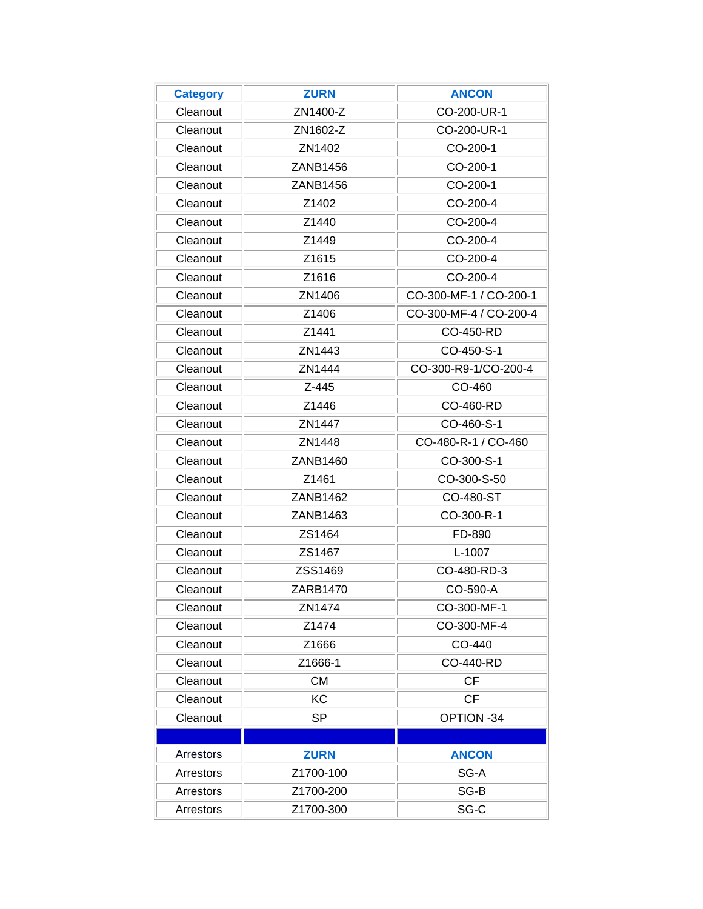| <b>Category</b> | <b>ZURN</b>       | <b>ANCON</b>           |
|-----------------|-------------------|------------------------|
| Cleanout        | ZN1400-Z          | CO-200-UR-1            |
| Cleanout        | ZN1602-Z          | CO-200-UR-1            |
| Cleanout        | ZN1402            | CO-200-1               |
| Cleanout        | ZANB1456          | CO-200-1               |
| Cleanout        | ZANB1456          | CO-200-1               |
| Cleanout        | Z <sub>1402</sub> | CO-200-4               |
| Cleanout        | Z1440             | CO-200-4               |
| Cleanout        | Z1449             | CO-200-4               |
| Cleanout        | Z <sub>1615</sub> | CO-200-4               |
| Cleanout        | Z1616             | CO-200-4               |
| Cleanout        | ZN1406            | CO-300-MF-1 / CO-200-1 |
| Cleanout        | Z1406             | CO-300-MF-4 / CO-200-4 |
| Cleanout        | Z1441             | CO-450-RD              |
| Cleanout        | ZN1443            | CO-450-S-1             |
| Cleanout        | ZN1444            | CO-300-R9-1/CO-200-4   |
| Cleanout        | Z-445             | CO-460                 |
| Cleanout        | Z1446             | CO-460-RD              |
| Cleanout        | ZN1447            | CO-460-S-1             |
| Cleanout        | ZN1448            | CO-480-R-1 / CO-460    |
| Cleanout        | ZANB1460          | CO-300-S-1             |
| Cleanout        | Z1461             | CO-300-S-50            |
| Cleanout        | ZANB1462          | CO-480-ST              |
| Cleanout        | ZANB1463          | CO-300-R-1             |
| Cleanout        | ZS1464            | FD-890                 |
| Cleanout        | ZS1467            | L-1007                 |
| Cleanout        | ZSS1469           | CO-480-RD-3            |
| Cleanout        | ZARB1470          | CO-590-A               |
| Cleanout        | ZN1474            | CO-300-MF-1            |
| Cleanout        | Z1474             | CO-300-MF-4            |
| Cleanout        | Z1666             | CO-440                 |
| Cleanout        | Z1666-1           | CO-440-RD              |
| Cleanout        | <b>CM</b>         | <b>CF</b>              |
| Cleanout        | <b>KC</b>         | <b>CF</b>              |
| Cleanout        | <b>SP</b>         | OPTION -34             |
|                 |                   |                        |
| Arrestors       | <b>ZURN</b>       | <b>ANCON</b>           |
| Arrestors       | Z1700-100         | SG-A                   |
| Arrestors       | Z1700-200         | SG-B                   |
| Arrestors       | Z1700-300         | SG-C                   |